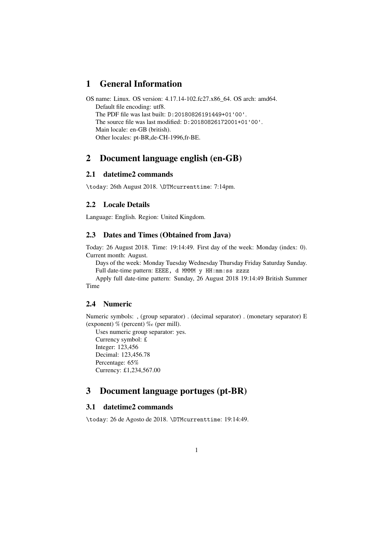# **1 General Information**

OS name: Linux. OS version: 4.17.14-102.fc27.x86\_64. OS arch: amd64. Default file encoding: utf8. The PDF file was last built: D:20180826191449+01'00'. The source file was last modified: D:20180826172001+01'00'. Main locale: en-GB (british). Other locales: pt-BR,de-CH-1996,fr-BE.

# **2 Document language english (en-GB)**

# **2.1 datetime2 commands**

\today: 26th August 2018. \DTMcurrenttime: 7:14pm.

### **2.2 Locale Details**

Language: English. Region: United Kingdom.

### **2.3 Dates and Times (Obtained from Java)**

Today: 26 August 2018. Time: 19:14:49. First day of the week: Monday (index: 0). Current month: August.

Days of the week: Monday Tuesday Wednesday Thursday Friday Saturday Sunday. Full date-time pattern: EEEE, d MMMM y HH:mm:ss zzzz

Apply full date-time pattern: Sunday, 26 August 2018 19:14:49 British Summer Time

### **2.4 Numeric**

Numeric symbols: , (group separator) . (decimal separator) . (monetary separator) E (exponent) % (percent) ‰ (per mill).

Uses numeric group separator: yes.

Currency symbol: £ Integer: 123,456 Decimal: 123,456.78 Percentage: 65% Currency: £1,234,567.00

# **3 Document language portuges (pt-BR)**

# **3.1 datetime2 commands**

\today: 26 de Agosto de 2018. \DTMcurrenttime: 19:14:49.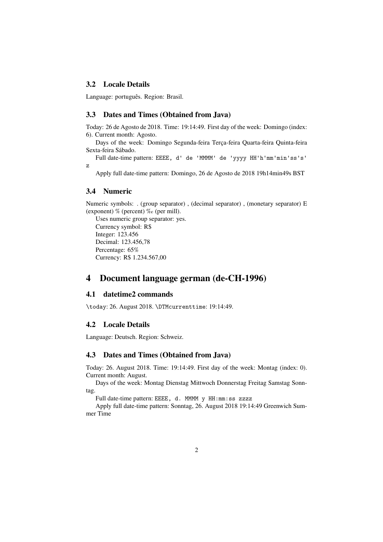### **3.2 Locale Details**

Language: português. Region: Brasil.

#### **3.3 Dates and Times (Obtained from Java)**

Today: 26 de Agosto de 2018. Time: 19:14:49. First day of the week: Domingo (index: 6). Current month: Agosto.

Days of the week: Domingo Segunda-feira Terça-feira Quarta-feira Quinta-feira Sexta-feira Sábado.

Full date-time pattern: EEEE, d' de 'MMMM' de 'yyyy HH'h'mm'min'ss's' z

Apply full date-time pattern: Domingo, 26 de Agosto de 2018 19h14min49s BST

### **3.4 Numeric**

Numeric symbols: . (group separator) , (decimal separator) , (monetary separator) E (exponent)  $\%$  (percent)  $\%$  (per mill).

Uses numeric group separator: yes. Currency symbol: R\$ Integer: 123.456 Decimal: 123.456,78 Percentage: 65% Currency: R\$ 1.234.567,00

# **4 Document language german (de-CH-1996)**

## **4.1 datetime2 commands**

\today: 26. August 2018. \DTMcurrenttime: 19:14:49.

# **4.2 Locale Details**

Language: Deutsch. Region: Schweiz.

### **4.3 Dates and Times (Obtained from Java)**

Today: 26. August 2018. Time: 19:14:49. First day of the week: Montag (index: 0). Current month: August.

Days of the week: Montag Dienstag Mittwoch Donnerstag Freitag Samstag Sonntag.

Full date-time pattern: EEEE, d. MMMM y HH:mm:ss zzzz

Apply full date-time pattern: Sonntag, 26. August 2018 19:14:49 Greenwich Summer Time